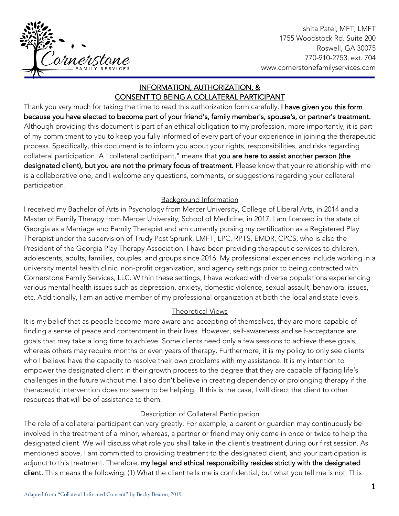

Ishita Patel, MFT, LMFT 1755 Woodstock Rd. Suite 200 Roswell, GA 30075 770-910-2753, ext. 704 www.cornerstonefamilyservices.com

# INFORMATION, AUTHORIZATION, & CONSENT TO BEING A COLLATERAL PARTICIPANT

j

Thank you very much for taking the time to read this authorization form carefully. I have given you this form because you have elected to become part of your friend's, family member's, spouse's, or partner's treatment. Although providing this document is part of an ethical obligation to my profession, more importantly, it is part of my commitment to you to keep you fully informed of every part of your experience in joining the therapeutic process. Specifically, this document is to inform you about your rights, responsibilities, and risks regarding collateral participation. A "collateral participant," means that you are here to assist another person (the designated client), but you are not the primary focus of treatment. Please know that your relationship with me is a collaborative one, and I welcome any questions, comments, or suggestions regarding your collateral participation.

### Background Information

I received my Bachelor of Arts in Psychology from Mercer University, College of Liberal Arts, in 2014 and a Master of Family Therapy from Mercer University, School of Medicine, in 2017. I am licensed in the state of Georgia as a Marriage and Family Therapist and am currently pursing my certification as a Registered Play Therapist under the supervision of Trudy Post Sprunk, LMFT, LPC, RPTS, EMDR, CPCS, who is also the President of the Georgia Play Therapy Association. I have been providing therapeutic services to children, adolescents, adults, families, couples, and groups since 2016. My professional experiences include working in a university mental health clinic, non-profit organization, and agency settings prior to being contracted with Cornerstone Family Services, LLC. Within these settings, I have worked with diverse populations experiencing various mental health issues such as depression, anxiety, domestic violence, sexual assault, behavioral issues, etc. Additionally, I am an active member of my professional organization at both the local and state levels.

### Theoretical Views

It is my belief that as people become more aware and accepting of themselves, they are more capable of finding a sense of peace and contentment in their lives. However, self-awareness and self-acceptance are goals that may take a long time to achieve. Some clients need only a few sessions to achieve these goals, whereas others may require months or even years of therapy. Furthermore, it is my policy to only see clients who I believe have the capacity to resolve their own problems with my assistance. It is my intention to empower the designated client in their growth process to the degree that they are capable of facing life's challenges in the future without me. I also don't believe in creating dependency or prolonging therapy if the therapeutic intervention does not seem to be helping. If this is the case, I will direct the client to other resources that will be of assistance to them.

### Description of Collateral Participation

The role of a collateral participant can vary greatly. For example, a parent or guardian may continuously be involved in the treatment of a minor, whereas, a partner or friend may only come in once or twice to help the designated client. We will discuss what role you shall take in the client's treatment during our first session. As mentioned above, I am committed to providing treatment to the designated client, and your participation is adjunct to this treatment. Therefore, my legal and ethical responsibility resides strictly with the designated client. This means the following: (1) What the client tells me is confidential, but what you tell me is not. This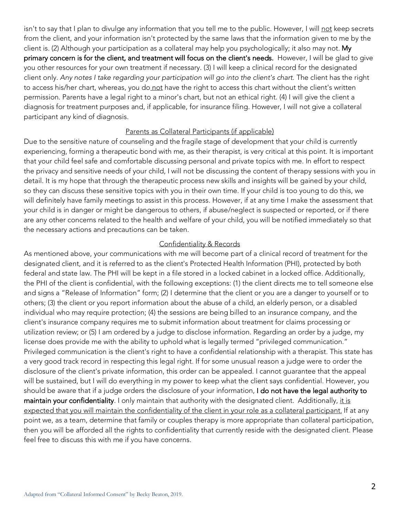isn't to say that I plan to divulge any information that you tell me to the public. However, I will not keep secrets from the client, and your information isn't protected by the same laws that the information given to me by the client is. (2) Although your participation as a collateral may help you psychologically; it also may not. My primary concern is for the client, and treatment will focus on the client's needs. However, I will be glad to give you other resources for your own treatment if necessary. (3) I will keep a clinical record for the designated client only. Any notes I take regarding your participation will go into the client's chart. The client has the right to access his/her chart, whereas, you do not have the right to access this chart without the client's written permission. Parents have a legal right to a minor's chart, but not an ethical right. (4) I will give the client a diagnosis for treatment purposes and, if applicable, for insurance filing. However, I will not give a collateral participant any kind of diagnosis.

#### Parents as Collateral Participants (if applicable)

Due to the sensitive nature of counseling and the fragile stage of development that your child is currently experiencing, forming a therapeutic bond with me, as their therapist, is very critical at this point. It is important that your child feel safe and comfortable discussing personal and private topics with me. In effort to respect the privacy and sensitive needs of your child, I will not be discussing the content of therapy sessions with you in detail. It is my hope that through the therapeutic process new skills and insights will be gained by your child, so they can discuss these sensitive topics with you in their own time. If your child is too young to do this, we will definitely have family meetings to assist in this process. However, if at any time I make the assessment that your child is in danger or might be dangerous to others, if abuse/neglect is suspected or reported, or if there are any other concerns related to the health and welfare of your child, you will be notified immediately so that the necessary actions and precautions can be taken.

#### Confidentiality & Records

As mentioned above, your communications with me will become part of a clinical record of treatment for the designated client, and it is referred to as the client's Protected Health Information (PHI), protected by both federal and state law. The PHI will be kept in a file stored in a locked cabinet in a locked office. Additionally, the PHI of the client is confidential, with the following exceptions: (1) the client directs me to tell someone else and signs a "Release of Information" form; (2) I determine that the client or you are a danger to yourself or to others; (3) the client or you report information about the abuse of a child, an elderly person, or a disabled individual who may require protection; (4) the sessions are being billed to an insurance company, and the client's insurance company requires me to submit information about treatment for claims processing or utilization review; or (5) I am ordered by a judge to disclose information. Regarding an order by a judge, my license does provide me with the ability to uphold what is legally termed "privileged communication." Privileged communication is the client's right to have a confidential relationship with a therapist. This state has a very good track record in respecting this legal right. If for some unusual reason a judge were to order the disclosure of the client's private information, this order can be appealed. I cannot guarantee that the appeal will be sustained, but I will do everything in my power to keep what the client says confidential. However, you should be aware that if a judge orders the disclosure of your information, I do not have the legal authority to maintain your confidentiality. I only maintain that authority with the designated client. Additionally, it is expected that you will maintain the confidentiality of the client in your role as a collateral participant. If at any point we, as a team, determine that family or couples therapy is more appropriate than collateral participation, then you will be afforded all the rights to confidentiality that currently reside with the designated client. Please feel free to discuss this with me if you have concerns.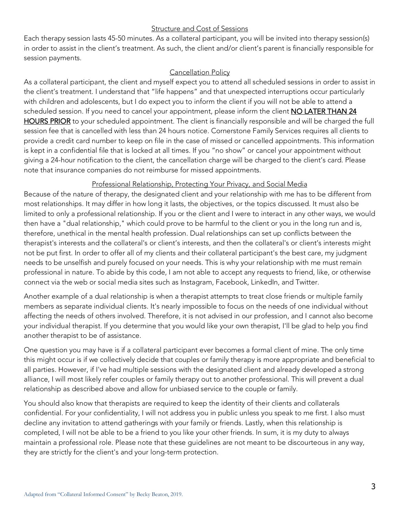### Structure and Cost of Sessions

Each therapy session lasts 45-50 minutes. As a collateral participant, you will be invited into therapy session(s) in order to assist in the client's treatment. As such, the client and/or client's parent is financially responsible for session payments.

### Cancellation Policy

As a collateral participant, the client and myself expect you to attend all scheduled sessions in order to assist in the client's treatment. I understand that "life happens" and that unexpected interruptions occur particularly with children and adolescents, but I do expect you to inform the client if you will not be able to attend a scheduled session. If you need to cancel your appointment, please inform the client NO LATER THAN 24 HOURS PRIOR to your scheduled appointment. The client is financially responsible and will be charged the full session fee that is cancelled with less than 24 hours notice. Cornerstone Family Services requires all clients to provide a credit card number to keep on file in the case of missed or cancelled appointments. This information is kept in a confidential file that is locked at all times. If you "no show" or cancel your appointment without giving a 24-hour notification to the client, the cancellation charge will be charged to the client's card. Please note that insurance companies do not reimburse for missed appointments.

## Professional Relationship, Protecting Your Privacy, and Social Media

Because of the nature of therapy, the designated client and your relationship with me has to be different from most relationships. It may differ in how long it lasts, the objectives, or the topics discussed. It must also be limited to only a professional relationship. If you or the client and I were to interact in any other ways, we would then have a "dual relationship," which could prove to be harmful to the client or you in the long run and is, therefore, unethical in the mental health profession. Dual relationships can set up conflicts between the therapist's interests and the collateral's or client's interests, and then the collateral's or client's interests might not be put first. In order to offer all of my clients and their collateral participant's the best care, my judgment needs to be unselfish and purely focused on your needs. This is why your relationship with me must remain professional in nature. To abide by this code, I am not able to accept any requests to friend, like, or otherwise connect via the web or social media sites such as Instagram, Facebook, LinkedIn, and Twitter.

Another example of a dual relationship is when a therapist attempts to treat close friends or multiple family members as separate individual clients. It's nearly impossible to focus on the needs of one individual without affecting the needs of others involved. Therefore, it is not advised in our profession, and I cannot also become your individual therapist. If you determine that you would like your own therapist, I'll be glad to help you find another therapist to be of assistance.

One question you may have is if a collateral participant ever becomes a formal client of mine. The only time this might occur is if we collectively decide that couples or family therapy is more appropriate and beneficial to all parties. However, if I've had multiple sessions with the designated client and already developed a strong alliance, I will most likely refer couples or family therapy out to another professional. This will prevent a dual relationship as described above and allow for unbiased service to the couple or family.

You should also know that therapists are required to keep the identity of their clients and collaterals confidential. For your confidentiality, I will not address you in public unless you speak to me first. I also must decline any invitation to attend gatherings with your family or friends. Lastly, when this relationship is completed, I will not be able to be a friend to you like your other friends. In sum, it is my duty to always maintain a professional role. Please note that these guidelines are not meant to be discourteous in any way, they are strictly for the client's and your long-term protection.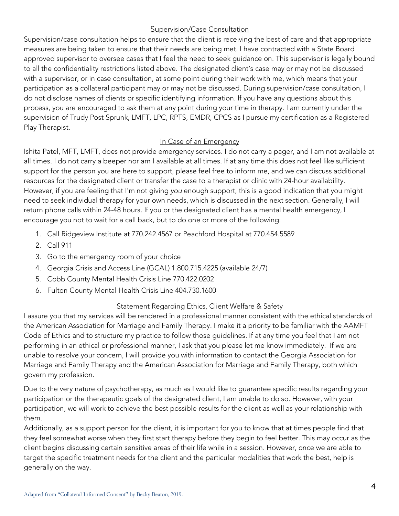## Supervision/Case Consultation

Supervision/case consultation helps to ensure that the client is receiving the best of care and that appropriate measures are being taken to ensure that their needs are being met. I have contracted with a State Board approved supervisor to oversee cases that I feel the need to seek guidance on. This supervisor is legally bound to all the confidentiality restrictions listed above. The designated client's case may or may not be discussed with a supervisor, or in case consultation, at some point during their work with me, which means that your participation as a collateral participant may or may not be discussed. During supervision/case consultation, I do not disclose names of clients or specific identifying information. If you have any questions about this process, you are encouraged to ask them at any point during your time in therapy. I am currently under the supervision of Trudy Post Sprunk, LMFT, LPC, RPTS, EMDR, CPCS as I pursue my certification as a Registered Play Therapist.

### In Case of an Emergency

Ishita Patel, MFT, LMFT, does not provide emergency services. I do not carry a pager, and I am not available at all times. I do not carry a beeper nor am I available at all times. If at any time this does not feel like sufficient support for the person you are here to support, please feel free to inform me, and we can discuss additional resources for the designated client or transfer the case to a therapist or clinic with 24-hour availability. However, if you are feeling that I'm not giving *you* enough support, this is a good indication that you might need to seek individual therapy for your own needs, which is discussed in the next section. Generally, I will return phone calls within 24-48 hours. If you or the designated client has a mental health emergency, I encourage you not to wait for a call back, but to do one or more of the following:

- 1. Call Ridgeview Institute at 770.242.4567 or Peachford Hospital at 770.454.5589
- 2. Call 911
- 3. Go to the emergency room of your choice
- 4. Georgia Crisis and Access Line (GCAL) 1.800.715.4225 (available 24/7)
- 5. Cobb County Mental Health Crisis Line 770.422.0202
- 6. Fulton County Mental Health Crisis Line 404.730.1600

## Statement Regarding Ethics, Client Welfare & Safety

I assure you that my services will be rendered in a professional manner consistent with the ethical standards of theAmerican Association for Marriage and Family Therapy*.* I make it a priority to be familiar with the AAMFT Code of Ethics and to structure my practice to follow those guidelines. If at any time you feel that I am not performing in an ethical or professional manner, I ask that you please let me know immediately. If we are unable to resolve your concern, I will provide you with information to contact the Georgia Association for Marriage and Family Therapy and the American Association for Marriage and Family Therapy, both which govern my profession.

Due to the very nature of psychotherapy, as much as I would like to guarantee specific results regarding your participation or the therapeutic goals of the designated client, I am unable to do so. However, with your participation, we will work to achieve the best possible results for the client as well as your relationship with them.

Additionally, as a support person for the client, it is important for you to know that at times people find that they feel somewhat worse when they first start therapy before they begin to feel better. This may occur as the client begins discussing certain sensitive areas of their life while in a session. However, once we are able to target the specific treatment needs for the client and the particular modalities that work the best, help is generally on the way.